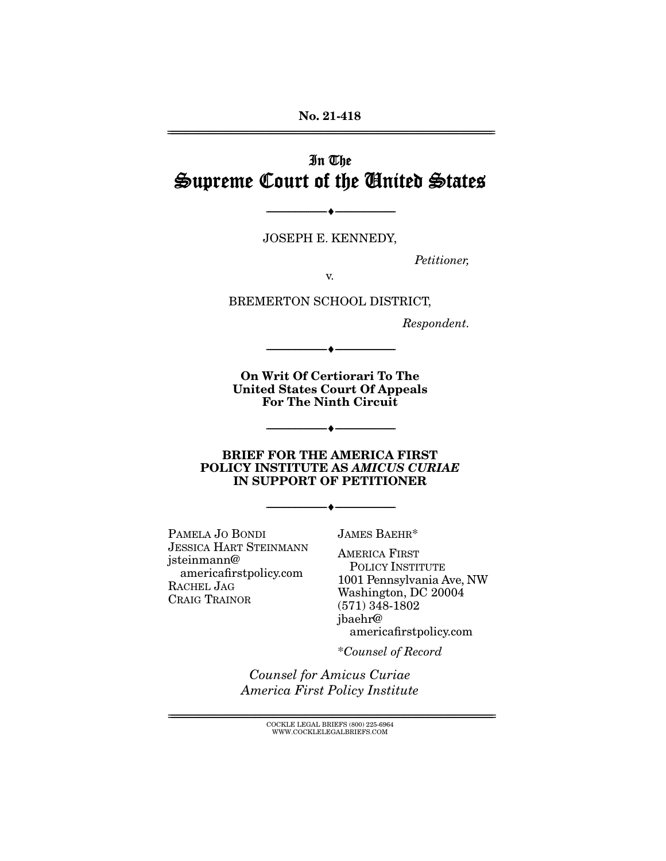# In The Supreme Court of the United States

JOSEPH E. KENNEDY,

--------------------------------- ♦ ---------------------------------

--------------------------------- ♦ ---------------------------------

Petitioner,

BREMERTON SCHOOL DISTRICT,

Respondent.

**On Writ Of Certiorari To The United States Court Of Appeals For The Ninth Circuit** 

 $\longrightarrow$   $\longleftarrow$   $\longleftarrow$   $\longleftarrow$   $\longleftarrow$   $\longleftarrow$   $\longleftarrow$   $\longleftarrow$   $\longleftarrow$   $\longleftarrow$   $\longleftarrow$   $\longleftarrow$   $\longleftarrow$   $\longleftarrow$   $\longleftarrow$   $\longleftarrow$   $\longleftarrow$   $\longleftarrow$   $\longleftarrow$   $\longleftarrow$   $\longleftarrow$   $\longleftarrow$   $\longleftarrow$   $\longleftarrow$   $\longleftarrow$   $\longleftarrow$   $\longleftarrow$   $\longleftarrow$   $\longleftarrow$   $\longleftarrow$   $\longleftarrow$   $\longleftarrow$ 

#### **BRIEF FOR THE AMERICA FIRST POLICY INSTITUTE AS** *AMICUS CURIAE* **IN SUPPORT OF PETITIONER**

 $\overbrace{\hspace{2.5cm}}$   $\overbrace{\hspace{2.5cm}}$ 

PAMELA JO BONDI **JESSICA HART STEINMANN** jsteinmann@ americafirstpolicy.com RACHEL JAG CRAIG TRAINOR CRAIG TRAINOR

**JAMES BAEHR\*** 

AMERICA FIRST POLICY INSTITUTE 1001 Pennsylvania Ave, NW Washington, DC 20004  $(571)$  348-1802 jbaehr@ americafirstpolicy.com

americafirstpolicy.com \*Counsel of Record

Counsel for Amicus Curiae America First Policy Institute

> $\text{COCKLE LEGAL BRIEFS}$  (800) 225-6964 WWW.COCKLELEGALBRIEFS.COM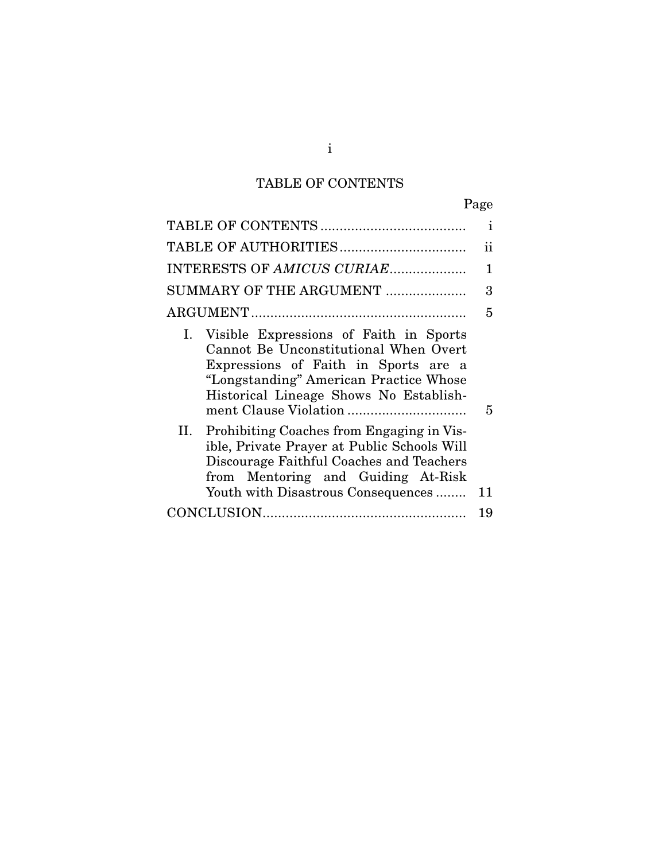# TABLE OF CONTENTS

|                                                                                                                                                                                                                   | $\mathbf{i}$ |
|-------------------------------------------------------------------------------------------------------------------------------------------------------------------------------------------------------------------|--------------|
|                                                                                                                                                                                                                   | ii           |
| INTERESTS OF AMICUS CURIAE                                                                                                                                                                                        | 1            |
| SUMMARY OF THE ARGUMENT                                                                                                                                                                                           | 3            |
|                                                                                                                                                                                                                   | 5            |
| Visible Expressions of Faith in Sports<br>Ι.<br>Cannot Be Unconstitutional When Overt<br>Expressions of Faith in Sports are a<br>"Longstanding" American Practice Whose<br>Historical Lineage Shows No Establish- | 5            |
| Prohibiting Coaches from Engaging in Vis-<br>II.<br>ible, Private Prayer at Public Schools Will<br>Discourage Faithful Coaches and Teachers<br>from Mentoring and Guiding At-Risk                                 |              |
| Youth with Disastrous Consequences                                                                                                                                                                                | 11           |
|                                                                                                                                                                                                                   | 19           |
|                                                                                                                                                                                                                   |              |

### i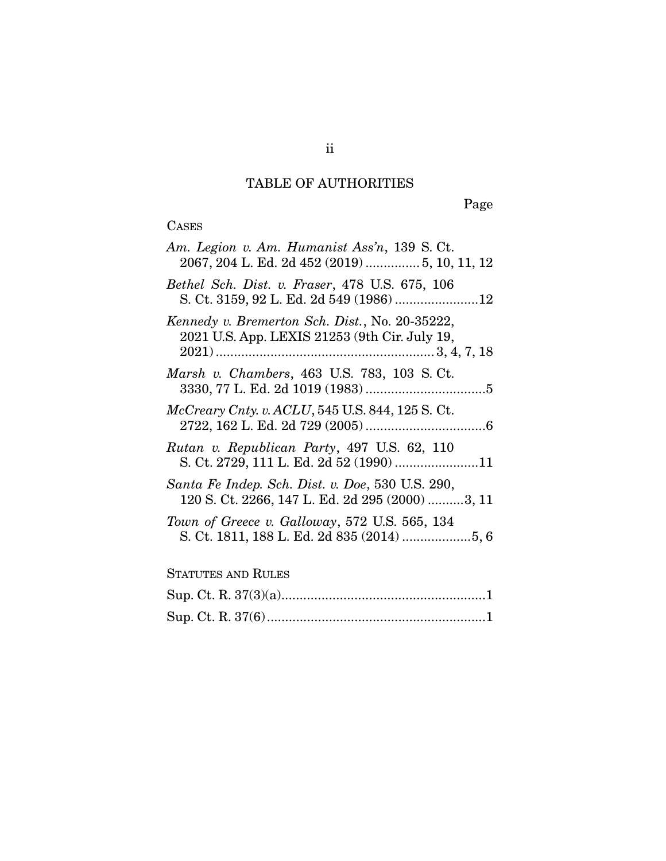## TABLE OF AUTHORITIES

ii

Page

## CASES

| Am. Legion v. Am. Humanist Ass'n, 139 S. Ct.<br>2067, 204 L. Ed. 2d 452 (2019)  5, 10, 11, 12       |
|-----------------------------------------------------------------------------------------------------|
| Bethel Sch. Dist. v. Fraser, 478 U.S. 675, 106<br>S. Ct. 3159, 92 L. Ed. 2d 549 (1986) 12           |
| Kennedy v. Bremerton Sch. Dist., No. 20-35222,<br>2021 U.S. App. LEXIS 21253 (9th Cir. July 19,     |
| Marsh v. Chambers, 463 U.S. 783, 103 S. Ct.                                                         |
| $McCreary$ Cnty. v. $ACLU$ , 545 U.S. 844, 125 S. Ct.                                               |
| Rutan v. Republican Party, 497 U.S. 62, 110<br>S. Ct. 2729, 111 L. Ed. 2d 52 (1990) 11              |
| Santa Fe Indep. Sch. Dist. v. Doe, 530 U.S. 290,<br>120 S. Ct. 2266, 147 L. Ed. 2d 295 (2000) 3, 11 |
| Town of Greece v. Galloway, 572 U.S. 565, 134<br>S. Ct. 1811, 188 L. Ed. 2d 835 (2014) 5, 6         |
| <b>STATUTES AND RULES</b>                                                                           |
|                                                                                                     |
|                                                                                                     |

Sup. Ct. R. 37(6) ............................................................ 1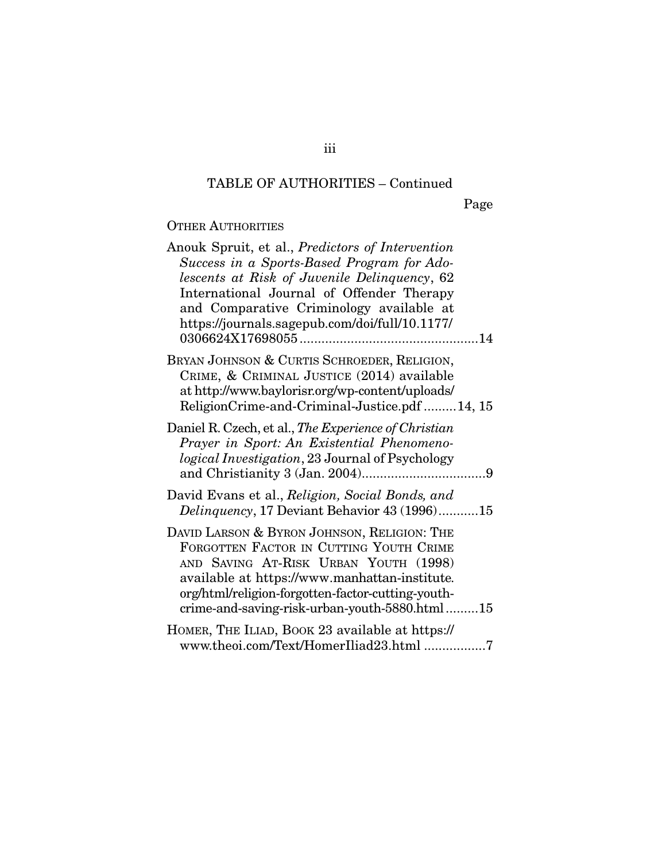## TABLE OF AUTHORITIES – Continued

Page

### OTHER AUTHORITIES

| Anouk Spruit, et al., Predictors of Intervention       |
|--------------------------------------------------------|
| Success in a Sports-Based Program for Ado-             |
| lescents at Risk of Juvenile Delinquency, 62           |
| International Journal of Offender Therapy              |
| and Comparative Criminology available at               |
| https://journals.sagepub.com/doi/full/10.1177/         |
|                                                        |
| BRYAN JOHNSON & CURTIS SCHROEDER, RELIGION,            |
| CRIME, & CRIMINAL JUSTICE (2014) available             |
| at http://www.baylorisr.org/wp-content/uploads/        |
| ReligionCrime-and-Criminal-Justice.pdf 14, 15          |
| Daniel R. Czech, et al., The Experience of Christian   |
| Prayer in Sport: An Existential Phenomeno-             |
| <i>logical Investigation, 23 Journal of Psychology</i> |
|                                                        |
| David Evans et al., Religion, Social Bonds, and        |
| Delinquency, 17 Deviant Behavior 43 (1996)15           |
| DAVID LARSON & BYRON JOHNSON, RELIGION: THE            |
| FORGOTTEN FACTOR IN CUTTING YOUTH CRIME                |
| AND SAVING AT-RISK URBAN YOUTH (1998)                  |
| available at https://www.manhattan-institute.          |
| org/html/religion-forgotten-factor-cutting-youth-      |
| crime-and-saving-risk-urban-youth-5880.html15          |
| HOMER, THE ILIAD, BOOK 23 available at https://        |
| www.theoi.com/Text/HomerIliad23.html 7                 |
|                                                        |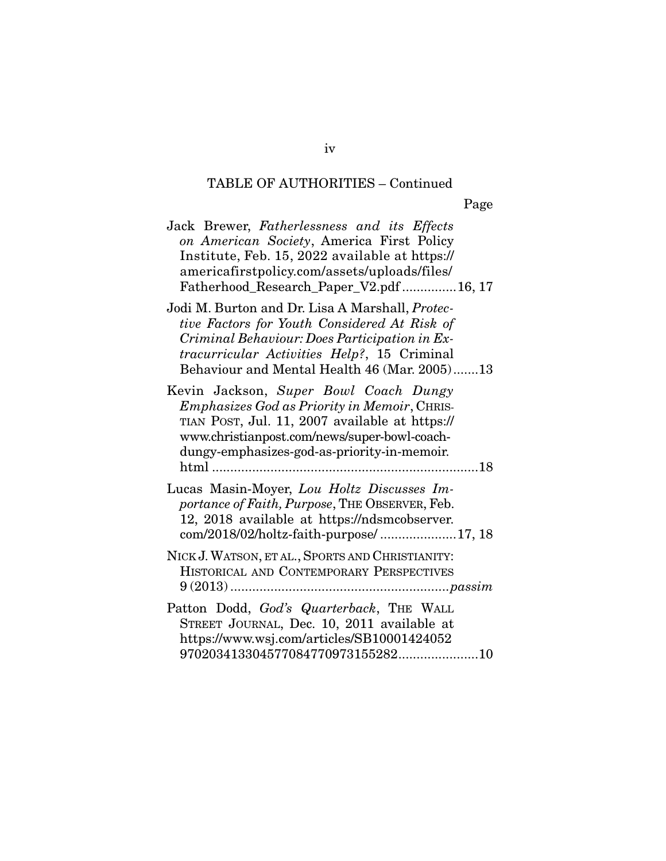## TABLE OF AUTHORITIES – Continued

| Jack Brewer, Fatherlessness and its Effects<br>on American Society, America First Policy<br>Institute, Feb. 15, 2022 available at https://<br>americafirstpolicy.com/assets/uploads/files/<br>Fatherhood_Research_Paper_V2.pdf16, 17            |     |
|-------------------------------------------------------------------------------------------------------------------------------------------------------------------------------------------------------------------------------------------------|-----|
| Jodi M. Burton and Dr. Lisa A Marshall, Protec-<br>tive Factors for Youth Considered At Risk of<br>Criminal Behaviour: Does Participation in Ex-<br>tracurricular Activities Help?, 15 Criminal<br>Behaviour and Mental Health 46 (Mar. 2005)13 |     |
| Kevin Jackson, Super Bowl Coach Dungy<br><i>Emphasizes God as Priority in Memoir, CHRIS-</i><br>TIAN POST, Jul. 11, 2007 available at https://<br>www.christianpost.com/news/super-bowl-coach-<br>dungy-emphasizes-god-as-priority-in-memoir.   |     |
| Lucas Masin-Moyer, Lou Holtz Discusses Im-<br>portance of Faith, Purpose, THE OBSERVER, Feb.<br>12, 2018 available at https://ndsmcobserver.<br>com/2018/02/holtz-faith-purpose/17, 18                                                          |     |
| NICK J. WATSON, ET AL., SPORTS AND CHRISTIANITY:<br>HISTORICAL AND CONTEMPORARY PERSPECTIVES                                                                                                                                                    |     |
| Patton Dodd, God's Quarterback, THE WALL<br>STREET JOURNAL, Dec. 10, 2011 available at<br>https://www.wsj.com/articles/SB10001424052                                                                                                            |     |
| 970203413304577084770973155282                                                                                                                                                                                                                  | 10. |

970203413304577084770973155282 ...................... 10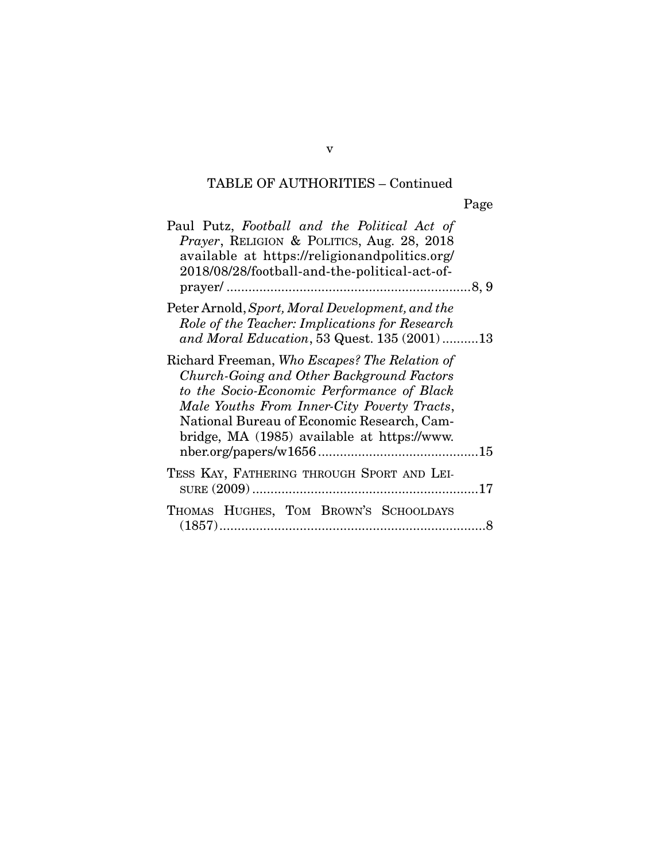## TABLE OF AUTHORITIES – Continued

Page

| Paul Putz, Football and the Political Act of<br>Prayer, RELIGION & POLITICS, Aug. 28, 2018<br>available at https://religionandpolitics.org/<br>2018/08/28/football-and-the-political-act-of-                                                                                         |  |
|--------------------------------------------------------------------------------------------------------------------------------------------------------------------------------------------------------------------------------------------------------------------------------------|--|
| Peter Arnold, Sport, Moral Development, and the<br>Role of the Teacher: Implications for Research<br>and Moral Education, 53 Quest. 135 (2001)13                                                                                                                                     |  |
| Richard Freeman, Who Escapes? The Relation of<br>Church-Going and Other Background Factors<br>to the Socio-Economic Performance of Black<br>Male Youths From Inner-City Poverty Tracts,<br>National Bureau of Economic Research, Cam-<br>bridge, MA (1985) available at https://www. |  |
| TESS KAY, FATHERING THROUGH SPORT AND LEI-                                                                                                                                                                                                                                           |  |
| THOMAS HUGHES, TOM BROWN'S SCHOOLDAYS                                                                                                                                                                                                                                                |  |

(1857) ......................................................................... 8

v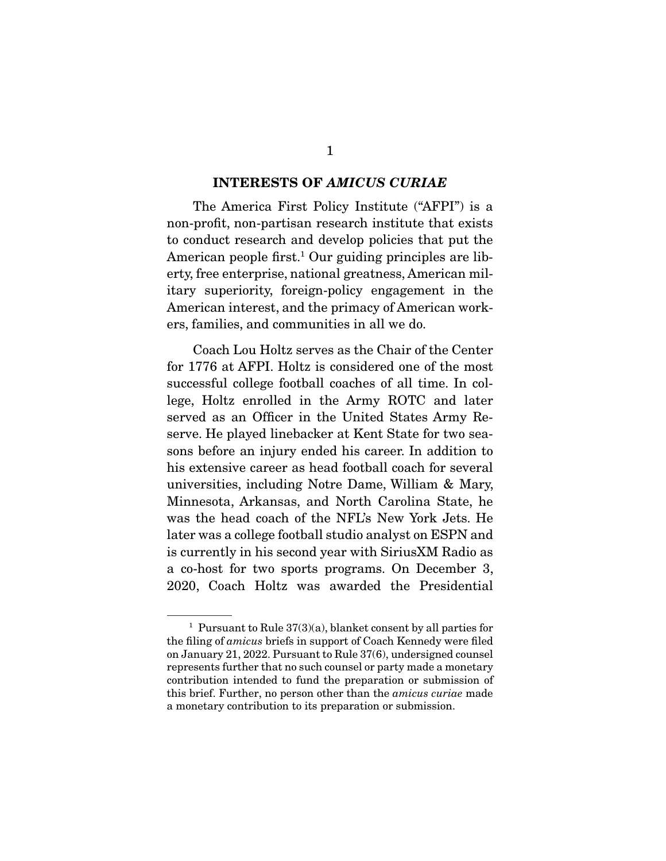#### **INTERESTS OF** *AMICUS CURIAE*

The America First Policy Institute ("AFPI") is a non-profit, non-partisan research institute that exists to conduct research and develop policies that put the American people first.<sup>1</sup> Our guiding principles are lib-American people first. Our guiding principles are initary superiority, foreign-policy engagement in the American interest, and the primacy of American work- $\frac{1}{2}$  and  $\frac{1}{2}$  and  $\frac{1}{2}$  and  $\frac{1}{2}$  and  $\frac{1}{2}$  work- $\frac{1}{2}$  workers, families, and communities in all we do.

Coach Lou Holtz serves as the Chair of the Center for 1776 at AFPI. Holtz is considered one of the most successful college football coaches of all time. In college, Holtz enrolled in the Army ROTC and later served as an Officer in the United States Army Reserve. He played linebacker at Kent State for two seasons before an injury ended his career. In addition to his extensive career as head football coach for several universities, including Notre Dame, William & Mary, Minnesota, Arkansas, and North Carolina State, he was the head coach of the NFL's New York Jets. He later was a college football studio analyst on ESPN and is currently in his second year with Sirius XM Radio as a co-host for two sports programs. On December 3,  $2020$  Cooch Holtz was awarded the Presidential 2020, Coach Holtz was awarded the Presidential

rursuant to Rule 37(3)(a), blanket consent by all parties for<br>the filing of *amicus* briefs in support of Coach Kennedy were filed<br>on January 21, 2022. Pursuant to Rule 37(6), undersigned counsel on January 21, 2022. Pursuant to Rule 37(6), undersigned counsel contribution intended to fund the preparation or submission of this brief. Further, no person other than the *amicus curiae* made<br>a monetary contribution to its preparation or submission a monetary contribution to its preparation or submission.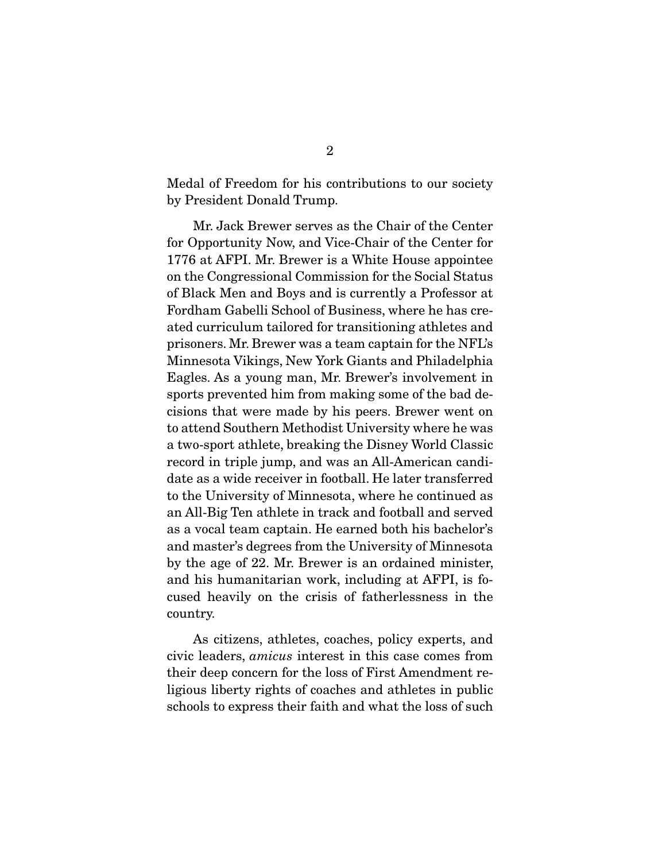Medal of Freedom for his contributions to our society<br>by President Donald Trump.  $\mathbf{P}$ 

Mr. Jack Brewer serves as the Chair of the Center<br>for Opportunity Now, and Vice-Chair of the Center for 1776 at AFPI. Mr. Brewer is a White House appointee on the Congressional Commission for the Social Status of Black Men and Boys and is currently a Professor at Fordham Gabelli School of Business, where he has created curriculum tailored for transitioning athletes and prisoners. Mr. Brewer was a team captain for the NFL's Minnesota Vikings, New York Giants and Philadelphia Eagles. As a young man, Mr. Brewer's involvement in sports prevented him from making some of the bad decisions that were made by his peers. Brewer went on to attend Southern Methodist University where he was a two-sport athlete, breaking the Disney World Classic record in triple jump, and was an All-American candidate as a wide receiver in football. He later transferred to the University of Minnesota, where he continued as an All-Big Ten athlete in track and football and served as a vocal team captain. He earned both his bachelor's and master's degrees from the University of Minnesota by the age of 22. Mr. Brewer is an ordained minister, and his humanitarian work, including at AFPI, is fo- $\frac{1}{2}$  and hospity on the crisis of fotborlossness in the country on the crisis of fatherless in the case of fatherless.  $\cdots$ 

civic leaders, *amicus* interest in this case comes from their deep concern for the less of First Amendment retheir deep concern for the loss of First Amendment re-<br>ligious liberty rights of coaches and athletes in public schools to express their faith and what the loss of such schools to express their faith and what the loss of such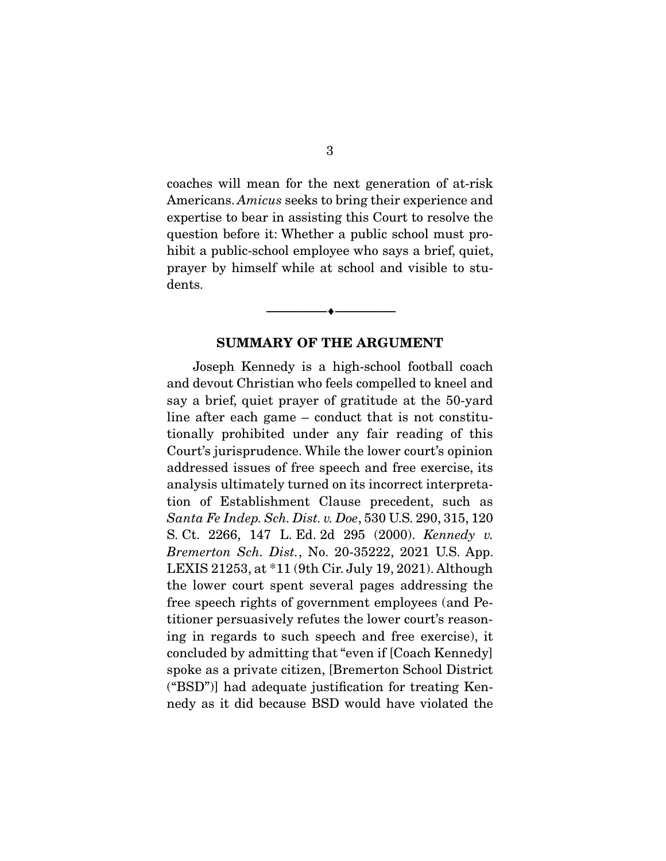Americans. Amicus seeks to bring their experience and<br>expertise to bear in assisting this Court to resolve the expertise to bear in assisting this Court to resolve the question before it: Whether a public school must prohibit a public-school employee who says a brief, quiet,  $h_1$  is public-school employee who says  $\frac{1}{2}$ prayer by himself while at school and visible to students.

#### **SUMMARY OF THE ARGUMENT**

 $\overbrace{\hspace{2.5cm}}$   $\overbrace{\hspace{2.5cm}}$ 

 Joseph Kennedy is a high-school football coach say a brief, quiet prayer of gratitude at the 50-yard line after each game  $-$  conduct that is not constitutionally prohibited under any fair reading of this Court's jurisprudence. While the lower court's opinion addressed issues of free speech and free exercise, its analysis ultimately turned on its incorrect interpretation of Establishment Clause precedent, such as  $t_{\text{start}}$   $t_{\text{start}}$   $t_{\text{start}}$   $t_{\text{start}}$   $t_{\text{start}}$   $t_{\text{start}}$   $t_{\text{start}}$   $t_{\text{start}}$   $t_{\text{start}}$   $t_{\text{start}}$   $t_{\text{start}}$   $t_{\text{start}}$   $t_{\text{start}}$   $t_{\text{start}}$   $t_{\text{start}}$   $t_{\text{start}}$   $t_{\text{start}}$   $t_{\text{start}}$   $t_{\text{start}}$   $t_{\text{start}}$   $t_{\text{start}}$   $t_{\text{start}}$  S. Ct. 2266, 147 L. Ed. 2d 295 (2000). Kennedy v. Bremerton Sch. Dist., No. 20-35222, 2021 U.S. App.<br>LEXIS 21253, at \*11 (9th Cir. July 19, 2021). Although the lower court spent several pages addressing the free speech rights of government employees (and Petitioner persuasively refutes the lower court's reasoning in regards to such speech and free exercise), it concluded by admitting that "even if [Coach Kennedy] spoke as a private citizen, [Bremerton School District] ("BSD")] had adequate justification for treating Kennedy as it did because BSD would have violated the nedy as it did because BSD would have violated the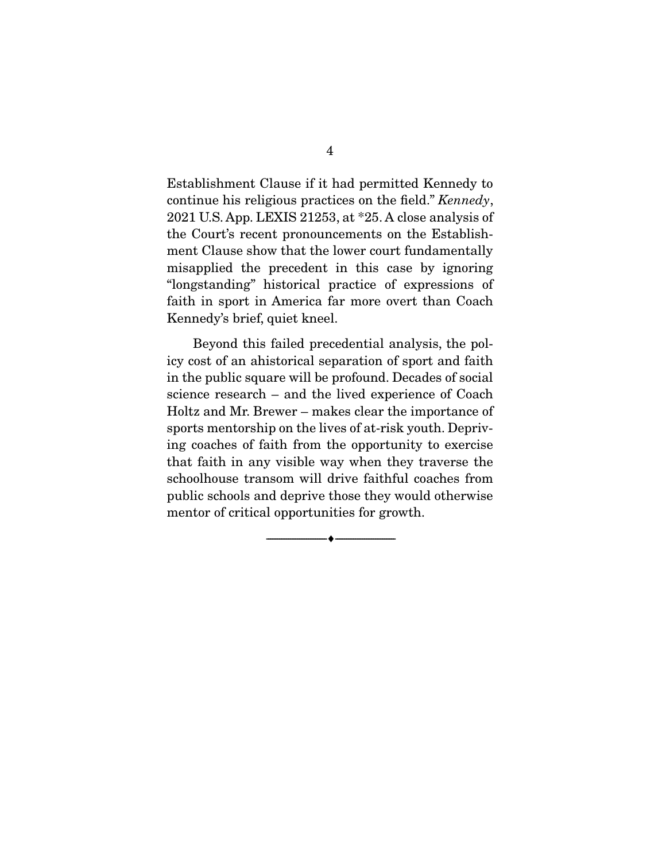continue his religious practices on the field."  $Kennedy$ ,<br>2021 U.S. App. LEXIS 21253, et \*25. A close applysis of 2021 U.S. App. LEXIS 21253, at \*25. A close analysis of ment Clause show that the lower court fundamentally misapplied the precedent in this case by ignoring "longstanding" historical practice of expressions of faith in sport in America far more overt than Coach  $\frac{1}{\sqrt{2\pi}}$  in  $\frac{1}{\sqrt{2\pi}}$  in  $\frac{1}{\sqrt{2\pi}}$  more over than  $\frac{1}{\sqrt{2\pi}}$  .  $\sum_{i=1}^{n} x_i^2 + \sum_{i=1}^{n} x_i^2 + \sum_{i=1}^{n} x_i^2 + \sum_{i=1}^{n} x_i^2 + \sum_{i=1}^{n} x_i^2 + \sum_{i=1}^{n} x_i^2 + \sum_{i=1}^{n} x_i^2 + \sum_{i=1}^{n} x_i^2 + \sum_{i=1}^{n} x_i^2 + \sum_{i=1}^{n} x_i^2 + \sum_{i=1}^{n} x_i^2 + \sum_{i=1}^{n} x_i^2 + \sum_{i=1}^{n} x_i^2 + \sum_{i=1}^{n} x_i^2 + \sum_{i=1}^{n}$ 

Beyond this failed precedential analysis, the policy cost of an ahistorical separation of sport and faith in the public square will be profound. Decades of social science research  $-$  and the lived experience of Coach Holtz and Mr. Brewer – makes clear the importance of sports mentorship on the lives of at-risk youth. Depriving coaches of faith from the opportunity to exercise that faith in any visible way when they traverse the schoolhouse transom will drive faithful coaches from public schools and deprive those they would otherwise  $p_{\text{inter}}$  is a dependent of  $\frac{p_{\text{inter}}}{p_{\text{inter}}}$ mentor of critical opportunities for growth.

 $\overbrace{\hspace{2.5cm}}$   $\overbrace{\hspace{2.5cm}}$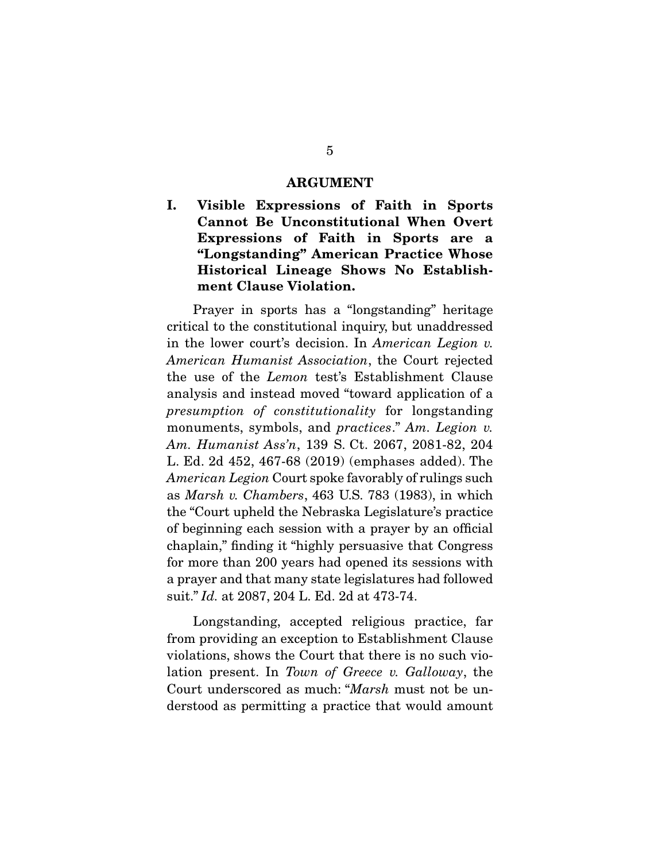#### **ARGUMENT**

**I. Visible Expressions of Faith in Sports Cannot Be Unconstitutional When Overt Expressions of Faith in Sports are a "Longstanding" American Practice Whose Historical Lineage Shows No Establishment Clause Violation.** 

Prayer in sports has a "longstanding" heritage critical to the constitutional inquiry, but unaddressed in the lower court's decision. In American Legion v.<br>American Humanist Association, the Court rejected American Humanist Association, the Court rejected the use of the *Lemon* test's Establishment Clause analysis and instead moved "toward application of a  $\frac{1}{2}$  presumption of constitutionality for longstanding monuments symbols and prestices." Am Legion  $\frac{1}{2}$ monuments, symbols, and *practices.*" Am. Legion v. Am. Humanist Ass'n, 139 S. Ct. 2067, 2081-82, 204<br>L. Ed. 2d 452, 467-68 (2019) (emphases added). The  $\overline{American~Legion~Caut~spoke~favorably~of~rulings~such}$ as *Marsh v. Chambers*, 463 U.S. 783 (1983), in which the "Court upheld the Nebraska Legislature's practice of beginning each session with a prayer by an official chaplain," finding it "highly persuasive that Congress" for more than 200 years had opened its sessions with a prayer and that many state legislatures had followed a prayer and that many state legislatures had followed suit." Id. at 2087, 204 L. Ed. 2d at 473-74.

Longstanding, accepted religious practice, far<br>from providing an exception to Establishment Clause violations, shows the Court that there is no such violation present. In Town of Greece v. Galloway, the Court underscened as much: "March must not be un Court underscored as much: "*Marsh* must not be understood as permitting a practice that would amount derstood as permitting as permitting and would amount and would amount  $\mathbf{r}$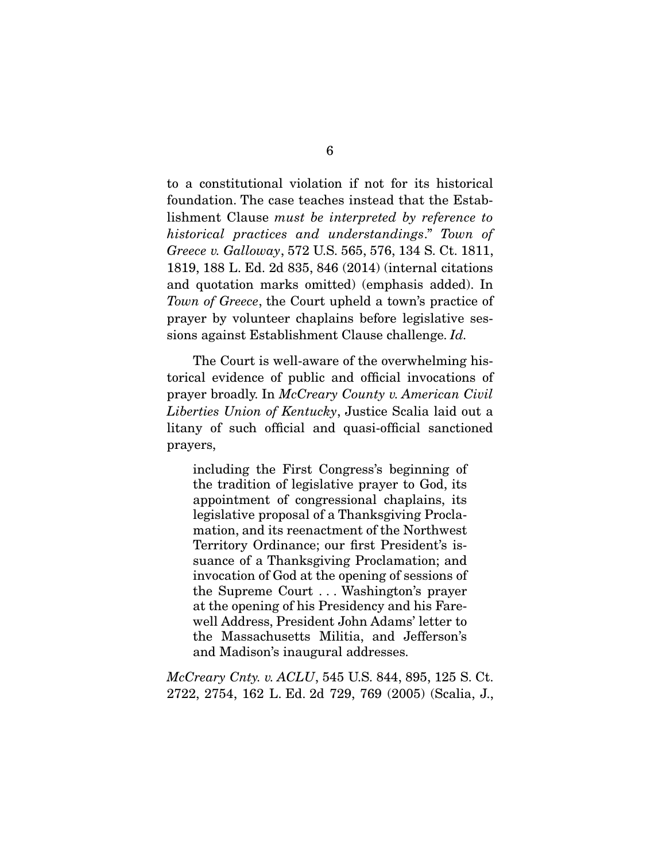to a constitutional violation if not for its historical lishment Clause must be interpreted by reference to<br>historical practices and understandings," Town of historical practices and understandings." Town of Greece v. Galloway, 572 U.S. 565, 576, 134 S. Ct. 1811, 1819, 188 L. Ed. 2d 835, 846 (2014) (internal citations and quotation marks omitted) (emphasis added). In Town of Greece, the Court upheld a town's practice of  $\frac{1}{\sqrt{2\pi}}$ prayer by volunteer chaplains before legislative ses-sions against Establishment Clause challenge. Id.

The Court is well-aware of the overwhelming his-<br>torical evidence of public and official invocations of prayer broadly. In McCreary County v. American Civil<br>Liberties Union of Kentuchy, Justice Seelie leid out a Liberties Union of Kentucky, Justice Scalia laid out a litany of such official and quasi-official sanctioned prayers,

including the First Congress's beginning of appointment of congressional chaplains, its legislative proposal of a Thanksgiving Proclamation, and its reenactment of the Northwest Territory Ordinance; our first President's issuance of a Thanksgiving Proclamation; and invocation of God at the opening of sessions of the Supreme Court ... Washington's prayer at the opening of his Presidency and his Farewell Address, President John Adams' letter to the Massachusetts Militia, and Jefferson's and Madison's inaugural addresses. and Madison's inaugural addresses.

*McCreary Cnty. v. ACLU*, 545 U.S. 844, 895, 125 S. Ct.<br>2722, 2754, 162 L. Ed. 2d 729, 769 (2005) (Scalia, J., 2722, 2754, 2754, 2754, 2754, 2754, 2754, 2754, 2754, 2754, 2754, 2754, 2754, 2754, 2754, 2754, 2754, 2754, 27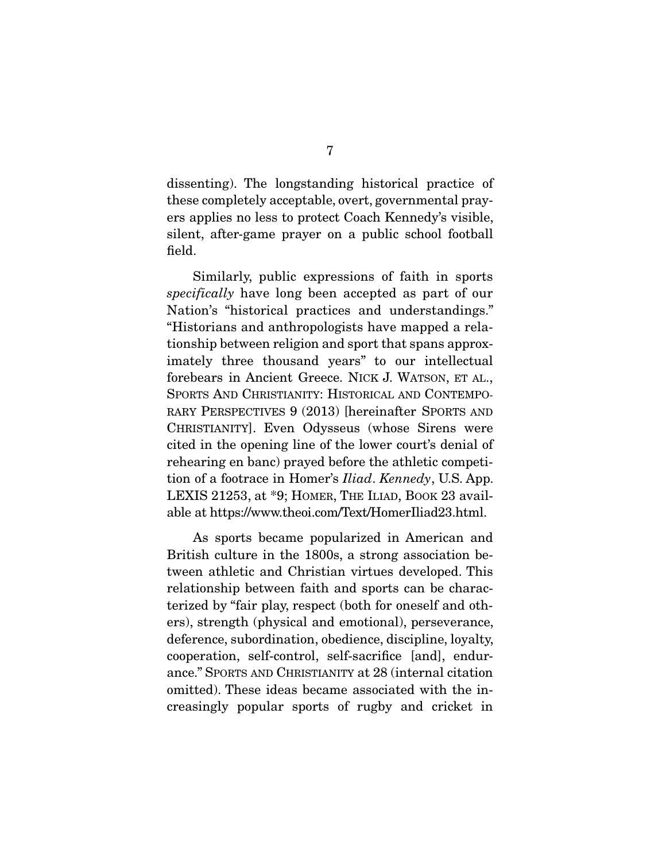dissenting). The longstanding historical practice of these completely acceptable, overt, governmental prayers applies no less to protect Coach Kennedy's visible, silent, after-game prayer on a public school football  $s_1$ field.

specifically have long been accepted as part of our  $\sum_{n=1}^{\infty}$ Nation's "historical practices and understandings." tionship between religion and sport that spans approximately three thousand years" to our intellectual forebears in Ancient Greece. NICK J. WATSON, ET AL., SPORTS AND CHRISTIANITY: HISTORICAL AND CONTEMPO-RARY PERSPECTIVES 9 (2013) [hereinafter SPORTS AND CHRISTIANITY]. Even Odysseus (whose Sirens were cited in the opening line of the lower court's denial of rehearing en banc) prayed before the athletic competition of a footrace in Homer's *Iliad. Kennedy*, U.S. App.<br>LEXIS 21253, of \*0. HOMER THE LIAD, BOOK 23 avail  $\Omega_{\text{obs}}$  at https://www.theoi.com/Toxt/Homerlliad?? html able at https://www.theoi.com/Text/Homeriliad23.html

As sports became popularized in American and British culture in the 1800s, a strong association between athletic and Christian virtues developed. This relationship between faith and sports can be characterized by "fair play, respect (both for oneself and others), strength (physical and emotional), perseverance, deference, subordination, obedience, discipline, loyalty, cooperation, self-control, self-sacrifice [and], endurance." SPORTS AND CHRISTIANITY at 28 (internal citation omitted). These ideas became associated with the increasingly popular sports of rugby and cricket in creasingly popular sports of rugby and cricket in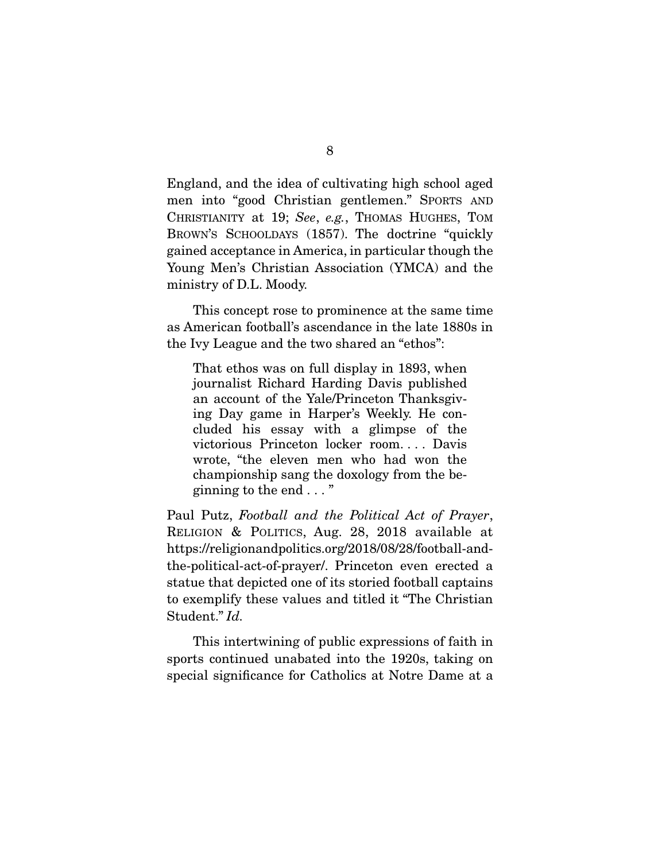England, and the idea of cultivating high school aged CHRISTIANITY at 19; See, e.g., THOMAS HUGHES, TOM BROWN'S SCHOOLDAYS (1857). The doctrine "quickly gained acceptance in America, in particular though the Young Men's Christian Association (YMCA) and the Young Merits Christian Association (YMCA) and the ministry of D.L. Moody.

This concept rose to prominence at the same time<br>as American football's ascendance in the late 1880s in the Ivy League and the two shared an "ethos":  $\mathbf{y}$  League and the two shared and the two shared and  $\mathbf{y}$ 

That ethos was on full display in 1893, when<br>journalist Richard Harding Davis published an account of the Yale/Princeton Thanksgiving Day game in Harper's Weekly. He concluded his essay with a glimpse of the victorious Princeton locker room.... Davis wrote, "the eleven men who had won the championship sang the doxology from the be- $\frac{1}{2}$  change from the domain  $\frac{1}{2}$   $\frac{1}{2}$   $\frac{1}{2}$   $\frac{1}{2}$   $\frac{1}{2}$   $\frac{1}{2}$   $\frac{1}{2}$   $\frac{1}{2}$   $\frac{1}{2}$   $\frac{1}{2}$   $\frac{1}{2}$   $\frac{1}{2}$   $\frac{1}{2}$   $\frac{1}{2}$   $\frac{1}{2}$   $\frac{1}{2}$   $\frac{1}{2}$   $\frac{1}{2}$   $\frac{1}{2}$  $g$ ------g  $\ldots$  are end  $\ldots$ 

Paul Putz, Football and the Political Act of Prayer,<br>RELIGION & POLITICS, Aug. 28, 2018 available at https://religionandpolitics.org/2018/08/28/football-andthe-political-act-of-prayer/. Princeton even erected a statue that depicted one of its storied football captains to exemplify these values and titled it "The Christian" Student." Id.

This intertwining of public expressions of faith in sports continued unabated into the 1920s, taking on  $\frac{1}{2}$  sports continued to the 1920s of  $\frac{1}{2}$ special significance for Catholics at Notre Dame at a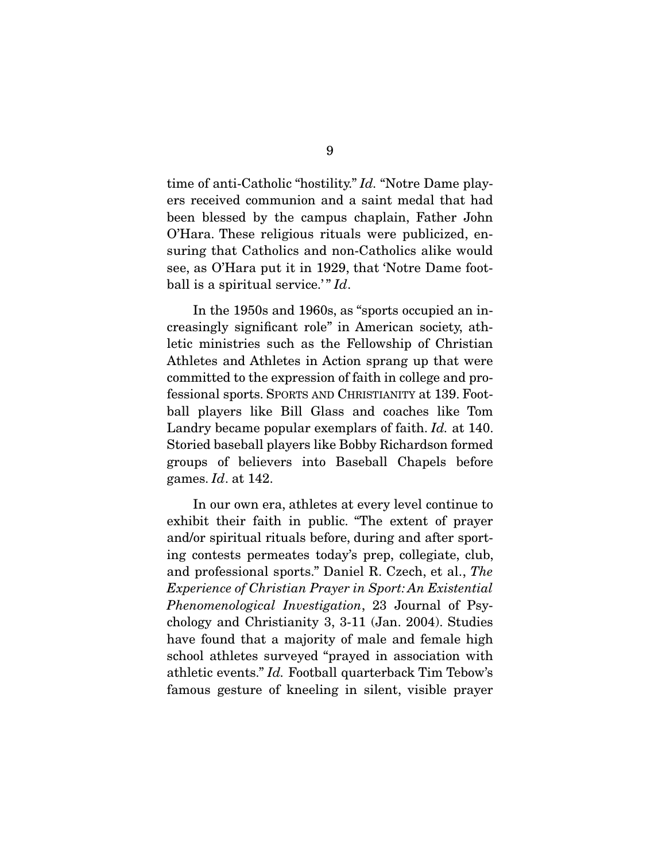time of anti-Catholic "hostility." *Id.* "Notre Dame players received communion and a saint medal that had been blessed by the campus chaplain, Father John O'Hara. These religious rituals were publicized, ensuring that Catholics and non-Catholics alike would see, as O'Hara put it in 1929, that 'Notre Dame football is a spiritual service.'"  $Id$ .

In the 1950s and 1960s, as "sports occupied an increasingly significant role" in American society, athletic ministries such as the Fellowship of Christian Athletes and Athletes in Action sprang up that were committed to the expression of faith in college and professional sports. SPORTS AND CHRISTIANITY at 139. Football players like Bill Glass and coaches like Tom  $\frac{1}{2}$  Landry became popular exemplars of faith. Id. at 140.  $S_{\text{F}}$  and  $S_{\text{F}}$  is a proposition  $S_{\text{F}}$  and  $S_{\text{F}}$  for  $S_{\text{F}}$  for  $S_{\text{F}}$ groups of believers into Baseball Chapels before games.  $Id$ . at 142.

In our own era, athletes at every level continue to exhibit their faith in public. "The extent of prayer and/or spiritual rituals before, during and after sporting contests permeates today's prep, collegiate, club, and professional sports." Daniel R. Czech, et al., The<br>
Experience of Christian Prover in Sport: An Existential Experience of Christian Prayer in Sport: An Existential Phenomenological Investigation, 23 Journal of Psy-<br>chology and Christianity 3, 3-11 (Jan. 2004). Studies have found that a majority of male and female high school athletes surveyed "prayed in association with athletic events." Id. Football quarterback Tim Tebow's<br>formous gosture of knooling in silent, visible prover. famous gesture of kneeling in silent, visible prayer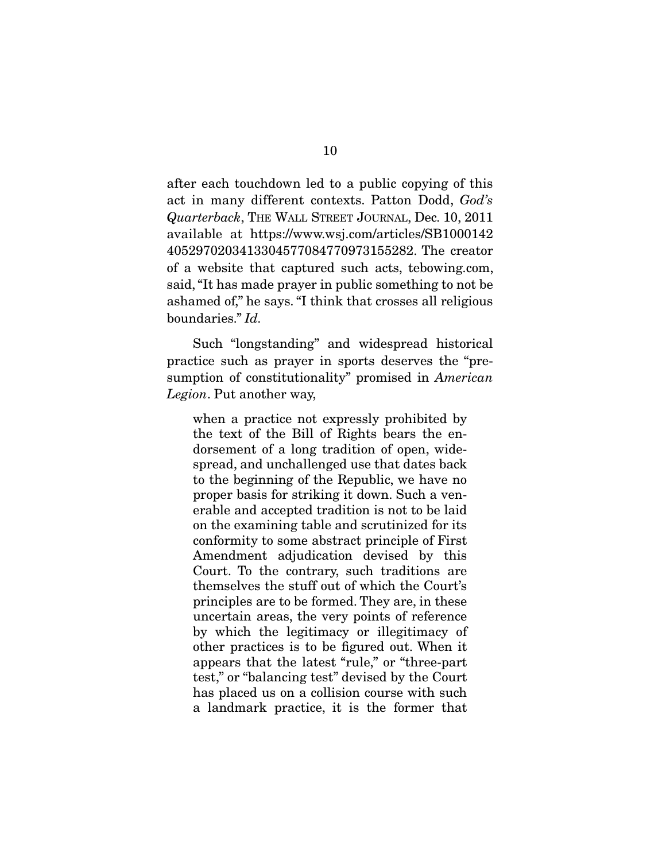act in many different contexts. Patton Dodd,  $God's$ <br> $Quartorback$   $TUE$   $WAI$ , STREET LOUNAL, Dec 10, 2011 Quarterback, THE WALL STREET JOURNAL, Dec. 10, 2011 4052970203413304577084770973155282. The creator of a website that captured such acts, tebowing.com, said, "It has made prayer in public something to not be. ashamed of," he says. "I think that crosses all religious boundaries."  $Id$ .

Such "longstanding" and widespread historical<br>practice such as prayer in sports deserves the "prepractice such as prayer in sports deserves the "pre-<br>sumption of constitutionality" promised in American Legion. Put another way,

when a practice not expressly prohibited by the text of the Bill of Rights bears the endorsement of a long tradition of open, widespread, and unchallenged use that dates back to the beginning of the Republic, we have no proper basis for striking it down. Such a venerable and accepted tradition is not to be laid on the examining table and scrutinized for its conformity to some abstract principle of First Amendment adjudication devised by this Court. To the contrary, such traditions are themselves the stuff out of which the Court's principles are to be formed. They are, in these uncertain areas, the very points of reference by which the legitimacy or illegitimacy of other practices is to be figured out. When it appears that the latest "rule," or "three-part test," or "balancing test" devised by the Court has placed us on a collision course with such a landmark practice, it is the former that a landmark practice, it is the former that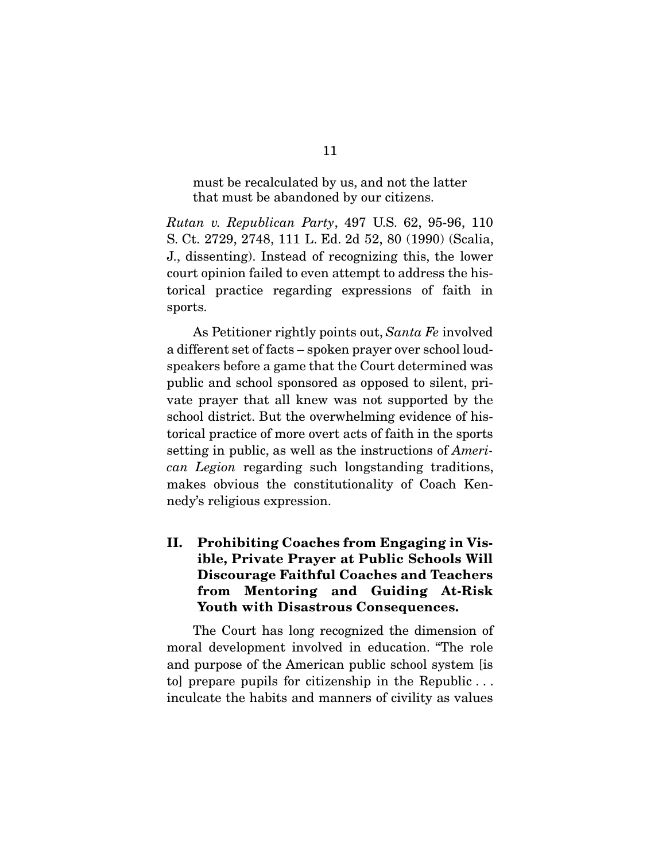must be recalculated by us, and not the latter<br>that must be abandoned by our citizens. that must be abandoned by our citizens.

Rutan v. Republican Party, 497 U.S. 62, 95-96, 110<br>S. Ct. 2729, 2748, 111 L. Ed. 2d 52, 80 (1990) (Scalia, J., dissenting). Instead of recognizing this, the lower court opinion failed to even attempt to address the his- $\frac{1}{2}$  $\frac{1}{2}$  fractice regarding  $\frac{1}{2}$  faith in  $\frac{1}{2}$ sports.

As Petitioner rightly points out, Santa Fe involved<br>a different set of facts – spoken prayer over school loudspeakers before a game that the Court determined was public and school sponsored as opposed to silent, private prayer that all knew was not supported by the school district. But the overwhelming evidence of historical practice of more overt acts of faith in the sports setting in public, as well as the instructions of  $\overline{A}$  meri-<br>can Legion recording such longstanding traditions can Legion regarding such longstanding traditions, makes obvious the constitutionality of Coach Kennedy's religious expression.  $\sum_{i=1}^{n}$  is religious expression.

### **II. Prohibiting Coaches from Engaging in Visible, Private Prayer at Public Schools Will Discourage Faithful Coaches and Teachers from Mentoring and Guiding At-Risk Youth with Disastrous Consequences.**

The Court has long recognized the dimension of moral development involved in education. "The role and purpose of the American public school system [is to] prepare pupils for citizenship in the Republic  $\dots$ inculcate the habits and manners of civility as values  $\mathbf{r}$ inculate the habits and manners of civility as values of  $\mathbf{r}$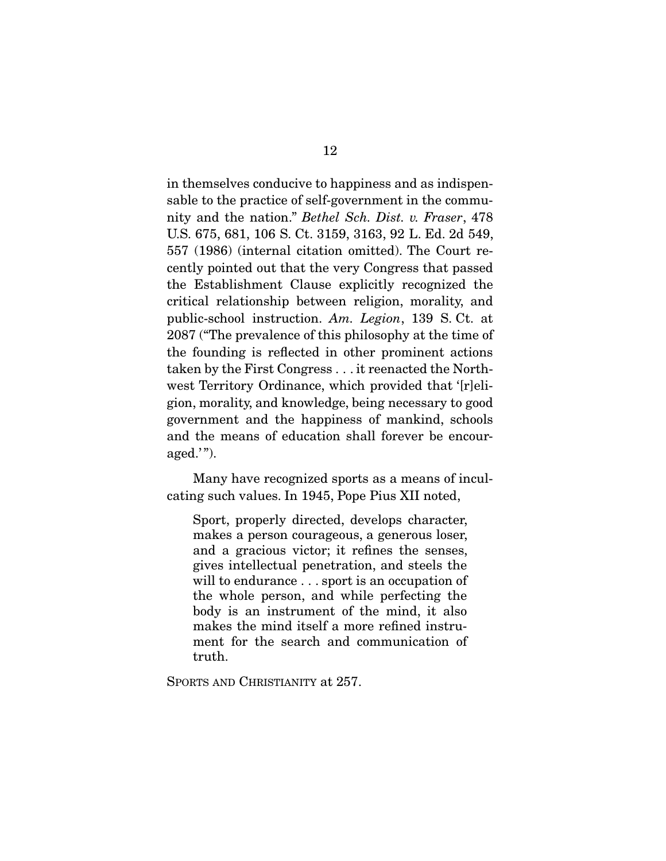in themselves conducive to happiness and as indispennity and the nation." Bethel Sch. Dist. v. Fraser, 478<br> $\frac{115}{115}$   $675$   $681$   $106$  S  $C_1$   $3159$   $3163$  90 J Fd  $3d549$ U.S. 675, 681, 106 S. Ct. 3159, 3163, 92 L. Ed. 2d 549, cently pointed out that the very Congress that passed the Establishment Clause explicitly recognized the critical relationship between religion, morality, and public-school instruction. Am. Legion, 139 S. Ct. at  $2087$  ("The prevelence of this philosophy at the time of 2087 ("The prevalence of this philosophy at the time of the founding is reflected in other prominent actions taken by the First Congress  $\ldots$  it reenacted the Northwest Territory Ordinance, which provided that '[r]eligion, morality, and knowledge, being necessary to good government and the happiness of mankind, schools and the means of education shall forever be encourand  $\binom{n}{k}$ aged. $'$ ").

 $\frac{1}{\pi}$  as a mean of  $\frac{1}{\pi}$  means  $\frac{1}{\pi}$  means  $\frac{1}{\pi}$  means  $\frac{1}{\pi}$  means of  $\frac{1}{\pi}$  means of  $\frac{1}{\pi}$  means of  $\frac{1}{\pi}$  means of  $\frac{1}{\pi}$  means of  $\frac{1}{\pi}$  means of  $\frac{1}{\pi}$  means of  $\frac{1}{$ cating such values. In  $\mathbf{P}_{\mathbf{r}}$  is  $\mathbf{P}_{\mathbf{r}}$  in  $\mathbf{P}_{\mathbf{r}}$  in  $\mathbf{P}_{\mathbf{r}}$ 

Sport, properly directed, develops character, makes a person courageous, a generous loser, and a gracious victor; it refines the senses, gives intellectual penetration, and steels the will to endurance  $\ldots$  sport is an occupation of the whole person, and while perfecting the body is an instrument of the mind, it also makes the mind itself a more refined instrument for the search and communication of ment for the search and communication of<br>truth truth.

SPORTS AND CHRISTIANITY at 257.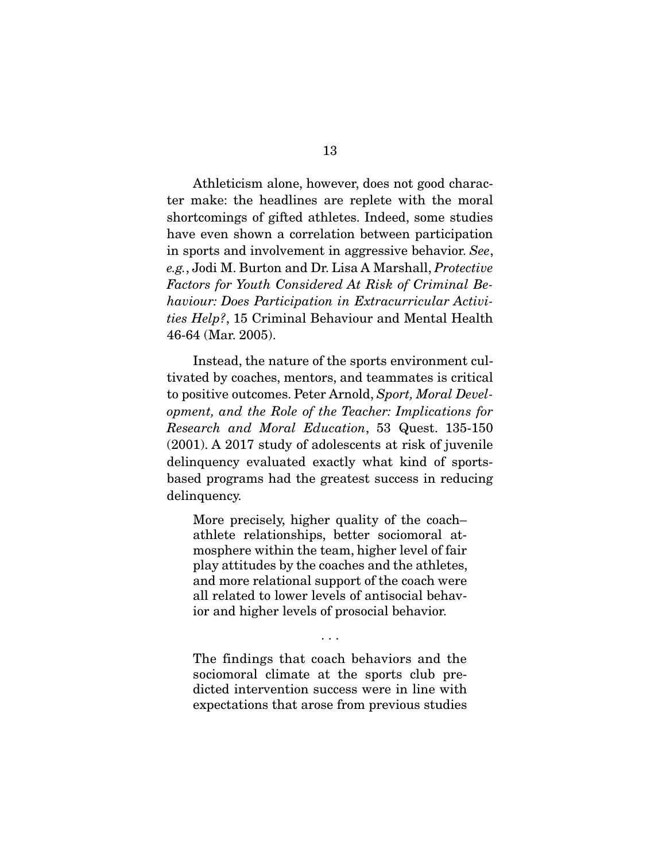Athleticism alone, however, does not good charac-<br>ter make: the headlines are replete with the moral shortcomings of gifted athletes. Indeed, some studies have even shown a correlation between participation in sports and involvement in aggressive behavior. See, e.g., Jodi M. Burton and Dr. Lisa A Marshall, Protective Factors for Youth Considered At Risk of Criminal Behaviour: Does Participation in Extracurricular Activities Help?, 15 Criminal Behaviour and Mental Health<br>46-64 (Mar. 2005). 46-64 (Mar. 2005).

Instead, the nature of the sports environment cultivated by coaches, mentors, and teammates is critical to positive outcomes. Peter Arnold, Sport, Moral Devel-<br>coment, and the Bole of the Teacher: Implications for opment, and the Role of the Teacher: Implications for Research and Moral Education, 53 Quest. 135-150 (2001). A 2017 study of adolescents at risk of juvenile delinguency evaluated exactly what kind of sportsbased programs had the greatest success in reducing based programs had the greatest success in reducing  $\mathbf{1}$  delinquency.

More precisely, higher quality of the coach–<br>athlete relationships, better sociomoral atmosphere within the team, higher level of fair play attitudes by the coaches and the athletes, and more relational support of the coach were all related to lower levels of antisocial behavior and higher levels of prosocial behavior. ior and higher levels of prosocial behavior.

 $\overline{\phantom{a}}$ 

The findings that coach behaviors and the sociomoral climate at the sports club predicted intervention success were in line with dicted interventions were were in the with  $\mathbf{r}_1$ expectations that are  $\mathbf{r}_1$  from previous studies studies studies studies studies studies studies studies studies studies studies studies studies studies studies studies studies studies studies studies studie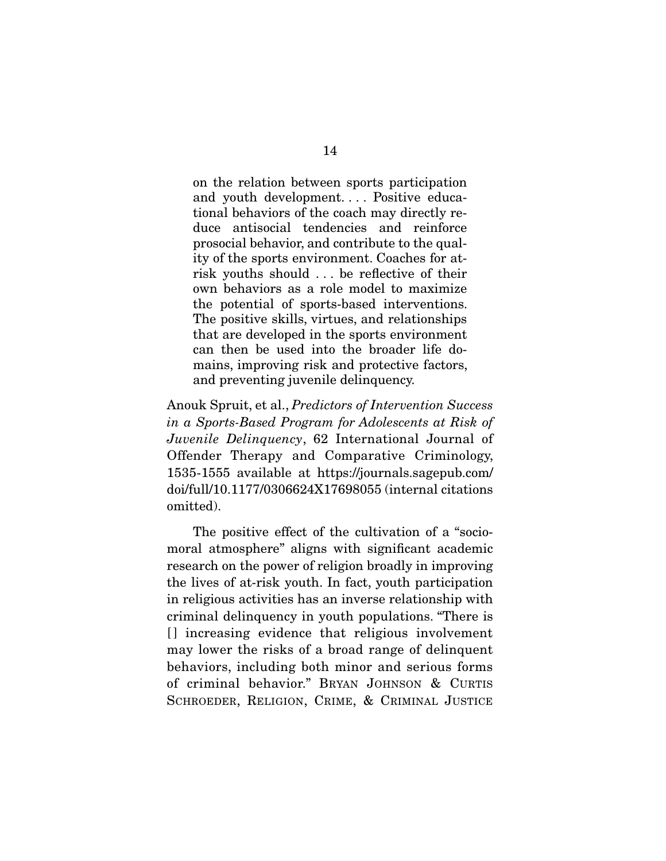on the relation between sports participation<br>and youth development.... Positive educational behaviors of the coach may directly reduce antisocial tendencies and reinforce prosocial behavior, and contribute to the quality of the sports environment. Coaches for atrisk youths should  $\ldots$  be reflective of their own behaviors as a role model to maximize the potential of sports-based interventions. The positive skills, virtues, and relationships. that are developed in the sports environment can then be used into the broader life domains, improving risk and protective factors, mains, improving risk and protective factors, and preventing juvenile delinquency.

Anouk Spruit, et al., Predictors of Intervention Success in a Sports-Based Program for Adolescents at Risk of Juvenile Delinquency, 62 International Journal of Offender Therapy and Comparative Criminology, 1535-1555 available at https://journals.sagepub.com/ doi/full/10.1177/0306624X17698055 (internal citations  $\frac{1}{2}$ omitted).

The positive effect of the cultivation of a "socio-<br>moral atmosphere" aligns with significant academic research on the power of religion broadly in improving the lives of at-risk youth. In fact, youth participation in religious activities has an inverse relationship with. criminal delinguency in youth populations. "There is [] increasing evidence that religious involvement may lower the risks of a broad range of delinquent behaviors, including both minor and serious forms of criminal behavior." BRYAN JOHNSON & CURTIS SCHROEDER, RELIGION, CRIME, & CRIMINAL JUSTICE SCHROEDER, RELIGION, CRIME, & CRIMINAL JUSTICE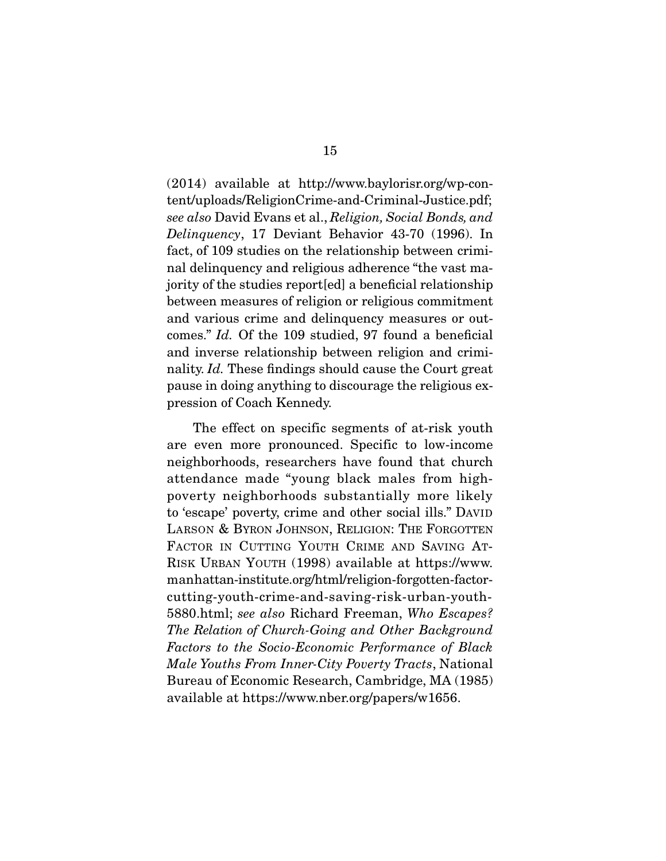(2014) available at http://www.baylorisr.org/wp-con-<br>tent/uploads/ReligionCrime-and-Criminal-Justice.pdf; see also David Evans et al., Religion, Social Bonds, and<br>Delinquares, 17, Devient, Bobavier, 43,70 (1996), In Delinquency, 17 Deviant Behavior 43-70 (1996). In fact, of 109 studies on the relationship between criminal delinquency and religious adherence "the vast majority of the studies report[ed] a beneficial relationship between measures of religion or religious commitment and various crime and delinquency measures or out- $\frac{1}{2}$  comes." Id. Of the 109 studied, 97 found a beneficial nality. Id. These findings should cause the Court great pause in doing anything to discourse the religious ex- $\mathbf{P}$  and  $\mathbf{P}$  are completely.

The effect on specific segments of at-risk youth<br>are even more pronounced. Specific to low-income neighborhoods, researchers have found that church attendance made "young black males from highpoverty neighborhoods substantially more likely to 'escape' poverty, crime and other social ills." DAVID LARSON & BYRON JOHNSON, RELIGION: THE FORGOTTEN FACTOR IN CUTTING YOUTH CRIME AND SAVING AT-RISK URBAN YOUTH (1998) available at https://www. manhattan-institute.org/html/religion-forgotten-factorcutting-youth-crime-and-saving-risk-urban-youth-5880.html; see also Richard Freeman, Who Escapes?<br>The Pelation of Church Going and Other Bachground. The Relation of Church-Going and Other Background Factors to the Socio-Economic Performance of Black Male Youths From Inner-City Poverty Tracts, National Bureau of Economic Research, Cambridge, MA (1985)  $B_{\text{total}}$  of  $\frac{1}{2}$   $\frac{1}{2}$   $\frac{1}{2}$   $\frac{1}{2}$   $\frac{1}{2}$   $\frac{1}{2}$   $\frac{1}{2}$   $\frac{1}{2}$   $\frac{1}{2}$   $\frac{1}{2}$   $\frac{1}{2}$   $\frac{1}{2}$   $\frac{1}{2}$   $\frac{1}{2}$   $\frac{1}{2}$   $\frac{1}{2}$   $\frac{1}{2}$   $\frac{1}{2}$   $\frac{1}{2}$   $\frac{1}{2}$   $\frac{1}{2}$ available at https://www.nber.org/papers/w1656.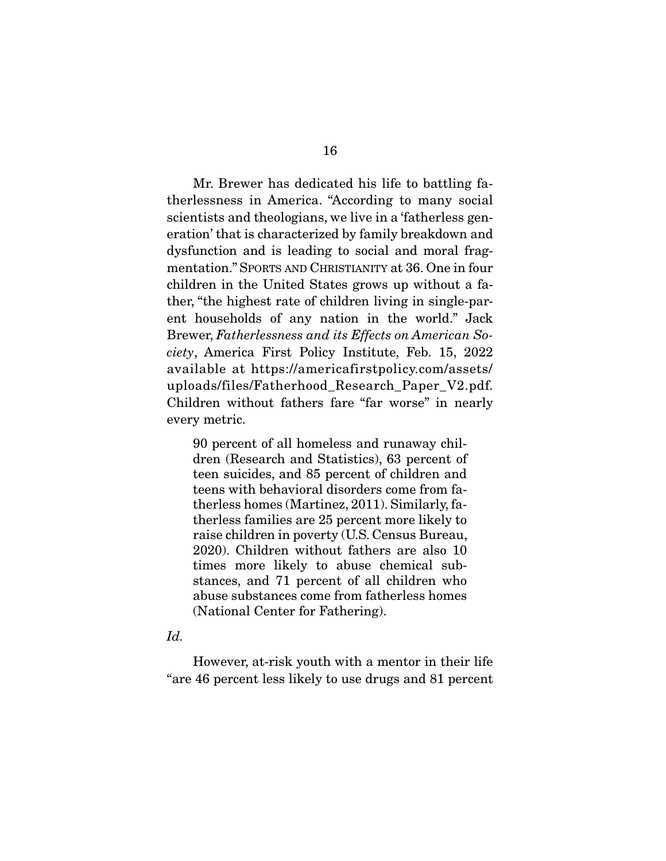Mr. Brewer has dedicated his life to battling fa-<br>therlessness in America. "According to many social scientists and theologians, we live in a 'fatherless generation' that is characterized by family breakdown and dysfunction and is leading to social and moral fragmentation." SPORTS AND CHRISTIANITY at 36. One in four children in the United States grows up without a father, "the highest rate of children living in single-parent households of any nation in the world." Jack ent households of any nation in the world. Take<br>Brewer, Fatherlessness and its Effects on American So-<br>gigty, America, First, Policy, Institute, Feb. 15, 2022 ciety, America First Policy Institute, Feb. 15, 2022 uploads/files/Fatherhood\_Research\_Paper\_V2.pdf.  $U_P$  which is a property  $\frac{1}{2}$  or  $\frac{1}{2}$ .  $\frac{1}{2}$  and  $\frac{1}{2}$ . Children without fathers fare "far worse" in nearly  $\cdots$ , metric.

90 percent of all homeless and runaway chil-<br>dren (Research and Statistics), 63 percent of teen suicides, and 85 percent of children and teens with behavioral disorders come from fatherless homes (Martinez, 2011). Similarly, fatherless families are 25 percent more likely to raise children in poverty (U.S. Census Bureau,  $2020$ ). Children without fathers are also 10 times more likely to abuse chemical substances, and 71 percent of all children who abuse substances come from fatherless homes (National Center for Fathering). (National Center for Fathering).

#### Id.

However, at-risk youth with a mentor in their life<br>"are 46 percent less likely to use drugs and 81 percent  $\cdots$  46 percent less likely to use drugs and  $\cdots$  percent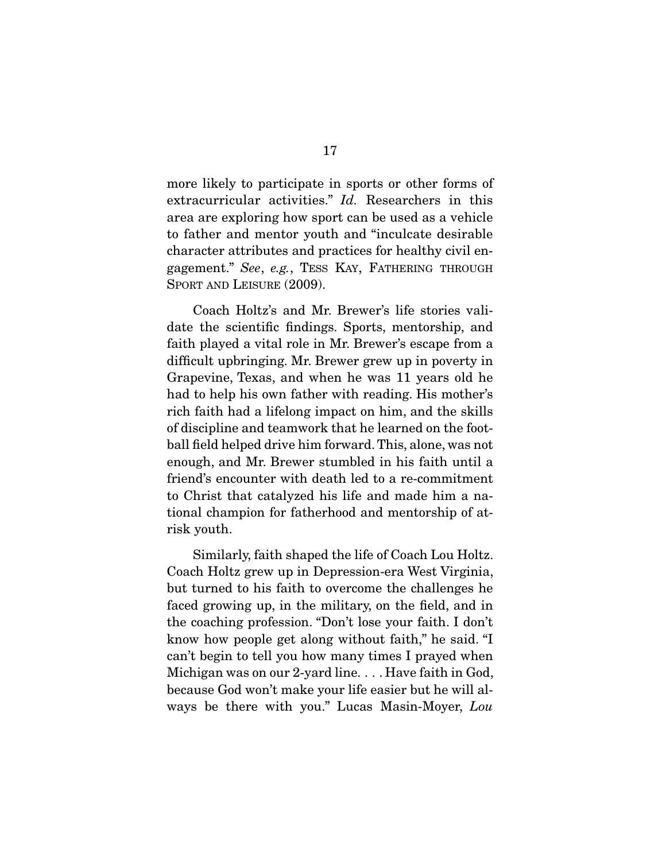extracurricular activities."  $Id$ . Researchers in this area are exploring how sport can be used as a vehicle character attributes and practices for healthy civil engagement." See, e.g., TESS KAY, FATHERING THROUGH SPORT AND LEISURE (2009).

Coach Holtz's and Mr. Brewer's life stories vali-<br>date the scientific findings. Sports, mentorship, and faith played a vital role in Mr. Brewer's escape from a difficult upbringing. Mr. Brewer grew up in poverty in Grapevine, Texas, and when he was 11 years old he had to help his own father with reading. His mother's rich faith had a lifelong impact on him, and the skills of discipline and teamwork that he learned on the football field helped drive him forward. This, alone, was not enough, and Mr. Brewer stumbled in his faith until a friend's encounter with death led to a re-commitment to Christ that catalyzed his life and made him a na- $\frac{1}{\pi}$  that catalyzed him a narrow  $\frac{1}{\pi}$ tional champion for fatherhood and mentorship of atrisk youth.

 Similarly, faith shaped the life of Coach Lou Holtz. but turned to his faith to overcome the challenges he faced growing up, in the military, on the field, and in the coaching profession. "Don't lose your faith. I don't know how people get along without faith," he said. "I can't begin to tell you how many times I prayed when Michigan was on our 2-yard line... Have faith in God, because God won't make your life easier but he will always be there with you." Lucas Masin-Moyer, Lou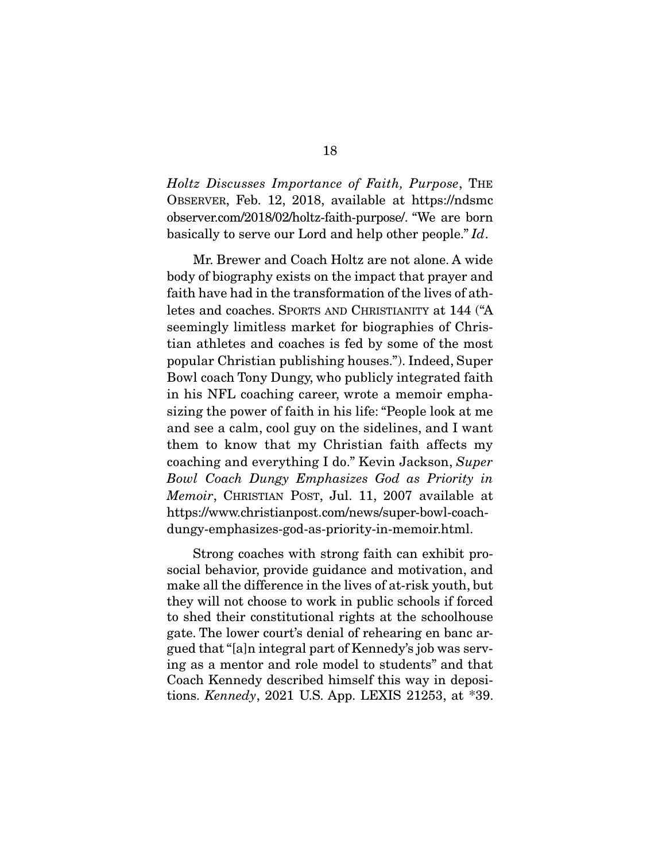Holtz Discusses Importance of Faith, Purpose, THE OBSERVER, Feb. 12, 2018, available at https://ndsmc observer.com/2018/02/holtz-faith-purpose/. "We are born basically to serve our Lord and help other people." Id.

Mr. Brewer and Coach Holtz are not alone. A wide<br>body of biography exists on the impact that prayer and faith have had in the transformation of the lives of athletes and coaches. SPORTS AND CHRISTIANITY at 144 ("A seemingly limitless market for biographies of Christian athletes and coaches is fed by some of the most popular Christian publishing houses."). Indeed, Super Bowl coach Tony Dungy, who publicly integrated faith. in his NFL coaching career, wrote a memoir emphasizing the power of faith in his life: "People look at me and see a calm, cool guy on the sidelines, and I want them to know that my Christian faith affects my the coaching and everything I do." Kevin Jackson, Super Bowl Coach Dungy Emphasizes God as Priority in Memoir, CHRISTIAN POST, Jul. 11, 2007 available at https://www.christianpost.com/news/super-bowl-coachdungy-emphasizes-god-as-priority-in-memoir.html. dung $\alpha$ -priority-in-memoir.html...

Strong coaches with strong faith can exhibit pro-<br>social behavior, provide guidance and motivation, and make all the difference in the lives of at-risk youth, but they will not choose to work in public schools if forced to shed their constitutional rights at the schoolhouse gate. The lower court's denial of rehearing en banc argued that "[a]n integral part of Kennedy's job was serving as a mentor and role model to students" and that Coach Kennedy described himself this way in depositions. Kennedy, 2021 U.S. App. LEXIS 21253, at  $*39$ .